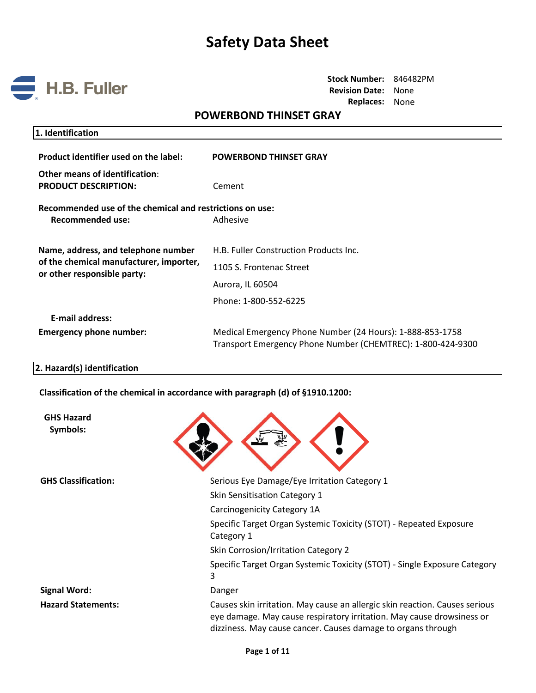

**Stock Number:** 846482PM **Revision Date:** None **Replaces:** None

# **POWERBOND THINSET GRAY**

| 1. Identification                                                                                             |                                                                                                                          |
|---------------------------------------------------------------------------------------------------------------|--------------------------------------------------------------------------------------------------------------------------|
| Product identifier used on the label:                                                                         | <b>POWERBOND THINSET GRAY</b>                                                                                            |
| Other means of identification:<br><b>PRODUCT DESCRIPTION:</b>                                                 | Cement                                                                                                                   |
| Recommended use of the chemical and restrictions on use:<br>Recommended use:                                  | Adhesive                                                                                                                 |
| Name, address, and telephone number<br>of the chemical manufacturer, importer,<br>or other responsible party: | H.B. Fuller Construction Products Inc.<br>1105 S. Frontenac Street                                                       |
|                                                                                                               | Aurora, IL 60504<br>Phone: 1-800-552-6225                                                                                |
| <b>E-mail address:</b><br><b>Emergency phone number:</b>                                                      | Medical Emergency Phone Number (24 Hours): 1-888-853-1758<br>Transport Emergency Phone Number (CHEMTREC): 1-800-424-9300 |

#### **2. Hazard(s) identification**

**Classification of the chemical in accordance with paragraph (d) of §1910.1200:**

| <b>GHS Hazard</b><br>Symbols: |                                                                                                                                                                                                                      |  |  |
|-------------------------------|----------------------------------------------------------------------------------------------------------------------------------------------------------------------------------------------------------------------|--|--|
| <b>GHS Classification:</b>    | Serious Eye Damage/Eye Irritation Category 1                                                                                                                                                                         |  |  |
|                               | Skin Sensitisation Category 1                                                                                                                                                                                        |  |  |
|                               | Carcinogenicity Category 1A                                                                                                                                                                                          |  |  |
|                               | Specific Target Organ Systemic Toxicity (STOT) - Repeated Exposure<br>Category 1                                                                                                                                     |  |  |
|                               | Skin Corrosion/Irritation Category 2                                                                                                                                                                                 |  |  |
|                               | Specific Target Organ Systemic Toxicity (STOT) - Single Exposure Category<br>3                                                                                                                                       |  |  |
| <b>Signal Word:</b>           | Danger                                                                                                                                                                                                               |  |  |
| <b>Hazard Statements:</b>     | Causes skin irritation. May cause an allergic skin reaction. Causes serious<br>eye damage. May cause respiratory irritation. May cause drowsiness or<br>dizziness. May cause cancer. Causes damage to organs through |  |  |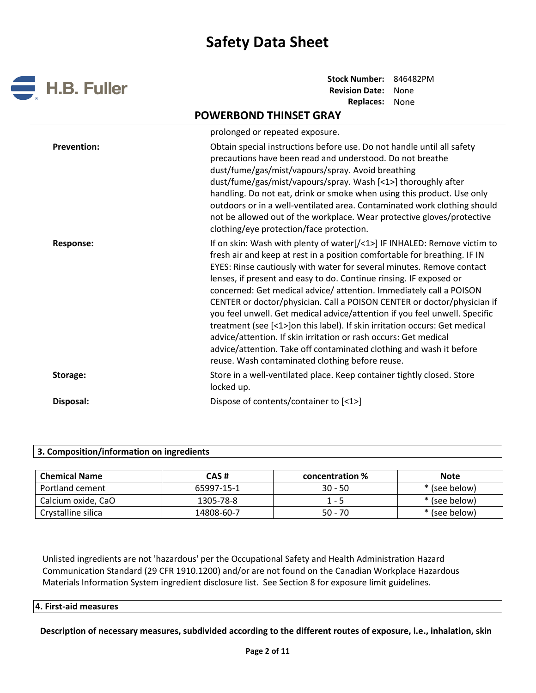

# **POWERBOND THINSET GRAY**

|                    | prolonged or repeated exposure.                                                                                                                                                                                                                                                                                                                                                                                                                                                                                                                                                                                                                                                                                                                                                                                 |
|--------------------|-----------------------------------------------------------------------------------------------------------------------------------------------------------------------------------------------------------------------------------------------------------------------------------------------------------------------------------------------------------------------------------------------------------------------------------------------------------------------------------------------------------------------------------------------------------------------------------------------------------------------------------------------------------------------------------------------------------------------------------------------------------------------------------------------------------------|
| <b>Prevention:</b> | Obtain special instructions before use. Do not handle until all safety<br>precautions have been read and understood. Do not breathe<br>dust/fume/gas/mist/vapours/spray. Avoid breathing<br>dust/fume/gas/mist/vapours/spray. Wash [<1>] thoroughly after<br>handling. Do not eat, drink or smoke when using this product. Use only<br>outdoors or in a well-ventilated area. Contaminated work clothing should<br>not be allowed out of the workplace. Wear protective gloves/protective<br>clothing/eye protection/face protection.                                                                                                                                                                                                                                                                           |
| <b>Response:</b>   | If on skin: Wash with plenty of water[/<1>] IF INHALED: Remove victim to<br>fresh air and keep at rest in a position comfortable for breathing. IF IN<br>EYES: Rinse cautiously with water for several minutes. Remove contact<br>lenses, if present and easy to do. Continue rinsing. IF exposed or<br>concerned: Get medical advice/attention. Immediately call a POISON<br>CENTER or doctor/physician. Call a POISON CENTER or doctor/physician if<br>you feel unwell. Get medical advice/attention if you feel unwell. Specific<br>treatment (see [<1>]on this label). If skin irritation occurs: Get medical<br>advice/attention. If skin irritation or rash occurs: Get medical<br>advice/attention. Take off contaminated clothing and wash it before<br>reuse. Wash contaminated clothing before reuse. |
| Storage:           | Store in a well-ventilated place. Keep container tightly closed. Store<br>locked up.                                                                                                                                                                                                                                                                                                                                                                                                                                                                                                                                                                                                                                                                                                                            |
| Disposal:          | Dispose of contents/container to [<1>]                                                                                                                                                                                                                                                                                                                                                                                                                                                                                                                                                                                                                                                                                                                                                                          |

### **3. Composition/information on ingredients**

| <b>Chemical Name</b> | CAS #      | concentration % | <b>Note</b>   |
|----------------------|------------|-----------------|---------------|
| Portland cement      | 65997-15-1 | $30 - 50$       | * (see below) |
| Calcium oxide, CaO   | 1305-78-8  | 1 - 5           | * (see below) |
| Crystalline silica   | 14808-60-7 | $50 - 70$       | * (see below) |

Unlisted ingredients are not 'hazardous' per the Occupational Safety and Health Administration Hazard Communication Standard (29 CFR 1910.1200) and/or are not found on the Canadian Workplace Hazardous Materials Information System ingredient disclosure list. See Section 8 for exposure limit guidelines.

#### **4. First-aid measures**

**Description of necessary measures, subdivided according to the different routes of exposure, i.e., inhalation, skin**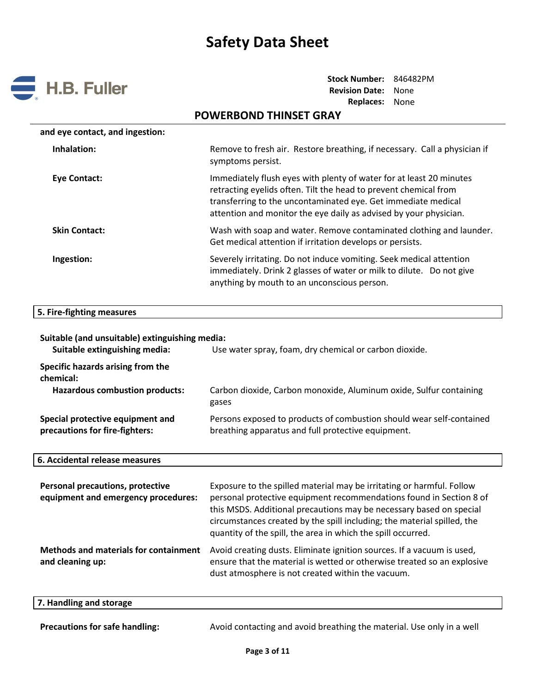

**Stock Number:** 846482PM **Revision Date:** None **Replaces:** None

| <b>POWERBOND THINSET GRAY</b>                                                                                                                                                                                                                                                 |  |  |  |
|-------------------------------------------------------------------------------------------------------------------------------------------------------------------------------------------------------------------------------------------------------------------------------|--|--|--|
|                                                                                                                                                                                                                                                                               |  |  |  |
| Remove to fresh air. Restore breathing, if necessary. Call a physician if<br>symptoms persist.                                                                                                                                                                                |  |  |  |
| Immediately flush eyes with plenty of water for at least 20 minutes<br>retracting eyelids often. Tilt the head to prevent chemical from<br>transferring to the uncontaminated eye. Get immediate medical<br>attention and monitor the eye daily as advised by your physician. |  |  |  |
| Wash with soap and water. Remove contaminated clothing and launder.<br>Get medical attention if irritation develops or persists.                                                                                                                                              |  |  |  |
| Severely irritating. Do not induce vomiting. Seek medical attention<br>immediately. Drink 2 glasses of water or milk to dilute. Do not give<br>anything by mouth to an unconscious person.                                                                                    |  |  |  |
|                                                                                                                                                                                                                                                                               |  |  |  |

#### **5. Fire-fighting measures**

| Suitable (and unsuitable) extinguishing media:<br>Suitable extinguishing media:         | Use water spray, foam, dry chemical or carbon dioxide.                                                                     |
|-----------------------------------------------------------------------------------------|----------------------------------------------------------------------------------------------------------------------------|
| Specific hazards arising from the<br>chemical:<br><b>Hazardous combustion products:</b> | Carbon dioxide, Carbon monoxide, Aluminum oxide, Sulfur containing<br>gases                                                |
| Special protective equipment and<br>precautions for fire-fighters:                      | Persons exposed to products of combustion should wear self-contained<br>breathing apparatus and full protective equipment. |
| 6. Accidental release measures                                                          |                                                                                                                            |

| <b>Personal precautions, protective</b><br>equipment and emergency procedures: | Exposure to the spilled material may be irritating or harmful. Follow<br>personal protective equipment recommendations found in Section 8 of<br>this MSDS. Additional precautions may be necessary based on special<br>circumstances created by the spill including; the material spilled, the<br>quantity of the spill, the area in which the spill occurred. |
|--------------------------------------------------------------------------------|----------------------------------------------------------------------------------------------------------------------------------------------------------------------------------------------------------------------------------------------------------------------------------------------------------------------------------------------------------------|
| <b>Methods and materials for containment</b><br>and cleaning up:               | Avoid creating dusts. Eliminate ignition sources. If a vacuum is used,<br>ensure that the material is wetted or otherwise treated so an explosive<br>dust atmosphere is not created within the vacuum.                                                                                                                                                         |

## **7. Handling and storage**

 $\overline{\phantom{a}}$ 

Precautions for safe handling: **Avoid contacting and avoid breathing the material.** Use only in a well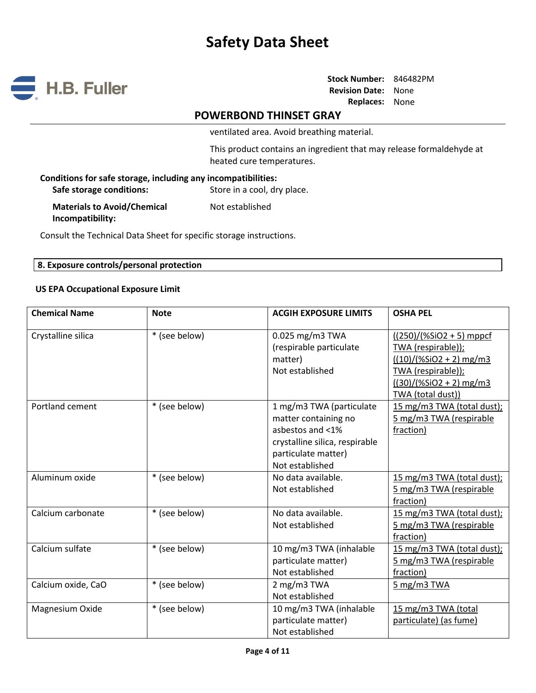

# **POWERBOND THINSET GRAY**

ventilated area. Avoid breathing material.

This product contains an ingredient that may release formaldehyde at heated cure temperatures.

| Conditions for safe storage, including any incompatibilities: |                             |  |  |
|---------------------------------------------------------------|-----------------------------|--|--|
| Safe storage conditions:                                      | Store in a cool, dry place. |  |  |
| <b>Materials to Avoid/Chemical</b><br>Incompatibility:        | Not established             |  |  |

Consult the Technical Data Sheet for specific storage instructions.

### **8. Exposure controls/personal protection**

### **US EPA Occupational Exposure Limit**

| <b>Chemical Name</b> | <b>Note</b>   | <b>ACGIH EXPOSURE LIMITS</b>                                                                                                                     | <b>OSHA PEL</b>                                                                                                                                      |
|----------------------|---------------|--------------------------------------------------------------------------------------------------------------------------------------------------|------------------------------------------------------------------------------------------------------------------------------------------------------|
| Crystalline silica   | * (see below) | 0.025 mg/m3 TWA<br>(respirable particulate<br>matter)<br>Not established                                                                         | $(250)/(%SiO2 + 5)$ mppcf<br>TWA (respirable));<br>$((10)/(%SiO2 + 2)$ mg/m3<br>TWA (respirable));<br>$((30)/(%SiO2 + 2)$ mg/m3<br>TWA (total dust)) |
| Portland cement      | * (see below) | 1 mg/m3 TWA (particulate<br>matter containing no<br>asbestos and <1%<br>crystalline silica, respirable<br>particulate matter)<br>Not established | 15 mg/m3 TWA (total dust);<br>5 mg/m3 TWA (respirable<br>fraction)                                                                                   |
| Aluminum oxide       | * (see below) | No data available.<br>Not established                                                                                                            | 15 mg/m3 TWA (total dust);<br>5 mg/m3 TWA (respirable<br>fraction)                                                                                   |
| Calcium carbonate    | * (see below) | No data available.<br>Not established                                                                                                            | 15 mg/m3 TWA (total dust);<br>5 mg/m3 TWA (respirable<br>fraction)                                                                                   |
| Calcium sulfate      | * (see below) | 10 mg/m3 TWA (inhalable<br>particulate matter)<br>Not established                                                                                | 15 mg/m3 TWA (total dust);<br>5 mg/m3 TWA (respirable<br>fraction)                                                                                   |
| Calcium oxide, CaO   | * (see below) | 2 mg/m3 TWA<br>Not established                                                                                                                   | $5$ mg/m3 TWA                                                                                                                                        |
| Magnesium Oxide      | * (see below) | 10 mg/m3 TWA (inhalable<br>particulate matter)<br>Not established                                                                                | 15 mg/m3 TWA (total<br>particulate) (as fume)                                                                                                        |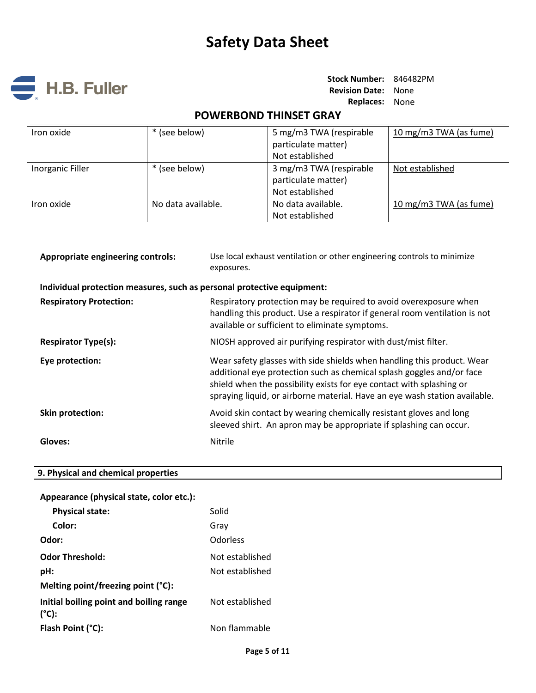

**Stock Number:** 846482PM **Revision Date:** None **Replaces:** None

# **POWERBOND THINSET GRAY**

| Iron oxide       | * (see below)      | 5 mg/m3 TWA (respirable | 10 mg/m3 TWA (as fume) |
|------------------|--------------------|-------------------------|------------------------|
|                  |                    | particulate matter)     |                        |
|                  |                    | Not established         |                        |
| Inorganic Filler | * (see below)      | 3 mg/m3 TWA (respirable | Not established        |
|                  |                    | particulate matter)     |                        |
|                  |                    | Not established         |                        |
| Iron oxide       | No data available. | No data available.      | 10 mg/m3 TWA (as fume) |
|                  |                    | Not established         |                        |

| Appropriate engineering controls:                                      | Use local exhaust ventilation or other engineering controls to minimize<br>exposures.                                                                                                                                                                                                                 |
|------------------------------------------------------------------------|-------------------------------------------------------------------------------------------------------------------------------------------------------------------------------------------------------------------------------------------------------------------------------------------------------|
| Individual protection measures, such as personal protective equipment: |                                                                                                                                                                                                                                                                                                       |
| <b>Respiratory Protection:</b>                                         | Respiratory protection may be required to avoid overexposure when<br>handling this product. Use a respirator if general room ventilation is not<br>available or sufficient to eliminate symptoms.                                                                                                     |
| <b>Respirator Type(s):</b>                                             | NIOSH approved air purifying respirator with dust/mist filter.                                                                                                                                                                                                                                        |
| Eye protection:                                                        | Wear safety glasses with side shields when handling this product. Wear<br>additional eye protection such as chemical splash goggles and/or face<br>shield when the possibility exists for eye contact with splashing or<br>spraying liquid, or airborne material. Have an eye wash station available. |
| <b>Skin protection:</b>                                                | Avoid skin contact by wearing chemically resistant gloves and long<br>sleeved shirt. An apron may be appropriate if splashing can occur.                                                                                                                                                              |
| Gloves:                                                                | <b>Nitrile</b>                                                                                                                                                                                                                                                                                        |

# **9. Physical and chemical properties**

| Appearance (physical state, color etc.):                   |                 |
|------------------------------------------------------------|-----------------|
| <b>Physical state:</b>                                     | Solid           |
| Color:                                                     | Grav            |
| Odor:                                                      | Odorless        |
| <b>Odor Threshold:</b>                                     | Not established |
| pH:                                                        | Not established |
| Melting point/freezing point (°C):                         |                 |
| Initial boiling point and boiling range<br>$(^{\circ}C)$ : | Not established |
| Flash Point (°C):                                          | Non flammable   |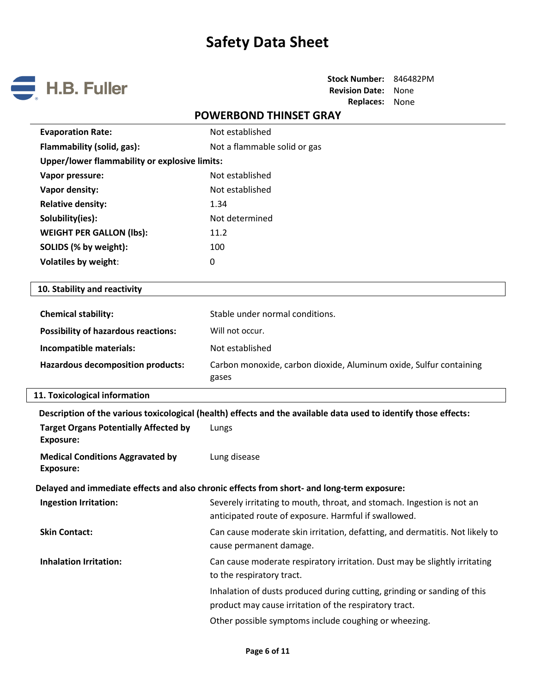

# **POWERBOND THINSET GRAY**

| <b>Evaporation Rate:</b>                                         | Not established                                                                                                                    |  |  |  |
|------------------------------------------------------------------|------------------------------------------------------------------------------------------------------------------------------------|--|--|--|
| Flammability (solid, gas):                                       | Not a flammable solid or gas                                                                                                       |  |  |  |
| <b>Upper/lower flammability or explosive limits:</b>             |                                                                                                                                    |  |  |  |
| Vapor pressure:                                                  | Not established                                                                                                                    |  |  |  |
| Vapor density:                                                   | Not established                                                                                                                    |  |  |  |
| <b>Relative density:</b>                                         | 1.34                                                                                                                               |  |  |  |
| Solubility(ies):                                                 | Not determined                                                                                                                     |  |  |  |
| <b>WEIGHT PER GALLON (lbs):</b>                                  | 11.2                                                                                                                               |  |  |  |
| SOLIDS (% by weight):                                            | 100                                                                                                                                |  |  |  |
| <b>Volatiles by weight:</b>                                      | 0                                                                                                                                  |  |  |  |
|                                                                  |                                                                                                                                    |  |  |  |
| 10. Stability and reactivity                                     |                                                                                                                                    |  |  |  |
| <b>Chemical stability:</b>                                       | Stable under normal conditions.                                                                                                    |  |  |  |
| <b>Possibility of hazardous reactions:</b>                       | Will not occur.                                                                                                                    |  |  |  |
| Incompatible materials:                                          | Not established                                                                                                                    |  |  |  |
| <b>Hazardous decomposition products:</b>                         | Carbon monoxide, carbon dioxide, Aluminum oxide, Sulfur containing<br>gases                                                        |  |  |  |
| 11. Toxicological information                                    |                                                                                                                                    |  |  |  |
|                                                                  | Description of the various toxicological (health) effects and the available data used to identify those effects:                   |  |  |  |
| <b>Target Organs Potentially Affected by</b><br><b>Exposure:</b> | Lungs                                                                                                                              |  |  |  |
| <b>Medical Conditions Aggravated by</b><br><b>Exposure:</b>      | Lung disease                                                                                                                       |  |  |  |
|                                                                  | Delayed and immediate effects and also chronic effects from short- and long-term exposure:                                         |  |  |  |
| <b>Ingestion Irritation:</b>                                     | Severely irritating to mouth, throat, and stomach. Ingestion is not an<br>anticipated route of exposure. Harmful if swallowed.     |  |  |  |
| <b>Skin Contact:</b>                                             | Can cause moderate skin irritation, defatting, and dermatitis. Not likely to<br>cause permanent damage.                            |  |  |  |
| <b>Inhalation Irritation:</b>                                    | Can cause moderate respiratory irritation. Dust may be slightly irritating<br>to the respiratory tract.                            |  |  |  |
|                                                                  | Inhalation of dusts produced during cutting, grinding or sanding of this<br>product may cause irritation of the respiratory tract. |  |  |  |
|                                                                  | Other possible symptoms include coughing or wheezing.                                                                              |  |  |  |
|                                                                  |                                                                                                                                    |  |  |  |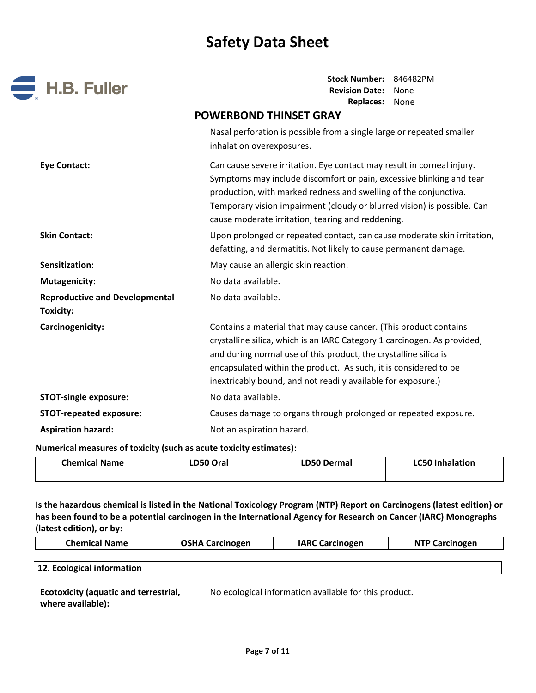

**Stock Number:** 846482PM **Revision Date:** None **Replaces:** None

# **POWERBOND THINSET GRAY**

|                                                    | Nasal perforation is possible from a single large or repeated smaller<br>inhalation overexposures.                                                                                                                                                                                                                                                    |
|----------------------------------------------------|-------------------------------------------------------------------------------------------------------------------------------------------------------------------------------------------------------------------------------------------------------------------------------------------------------------------------------------------------------|
| <b>Eye Contact:</b>                                | Can cause severe irritation. Eye contact may result in corneal injury.<br>Symptoms may include discomfort or pain, excessive blinking and tear<br>production, with marked redness and swelling of the conjunctiva.<br>Temporary vision impairment (cloudy or blurred vision) is possible. Can<br>cause moderate irritation, tearing and reddening.    |
| <b>Skin Contact:</b>                               | Upon prolonged or repeated contact, can cause moderate skin irritation,<br>defatting, and dermatitis. Not likely to cause permanent damage.                                                                                                                                                                                                           |
| Sensitization:                                     | May cause an allergic skin reaction.                                                                                                                                                                                                                                                                                                                  |
| <b>Mutagenicity:</b>                               | No data available.                                                                                                                                                                                                                                                                                                                                    |
| <b>Reproductive and Developmental</b><br>Toxicity: | No data available.                                                                                                                                                                                                                                                                                                                                    |
| Carcinogenicity:                                   | Contains a material that may cause cancer. (This product contains<br>crystalline silica, which is an IARC Category 1 carcinogen. As provided,<br>and during normal use of this product, the crystalline silica is<br>encapsulated within the product. As such, it is considered to be<br>inextricably bound, and not readily available for exposure.) |
| <b>STOT-single exposure:</b>                       | No data available.                                                                                                                                                                                                                                                                                                                                    |
| <b>STOT-repeated exposure:</b>                     | Causes damage to organs through prolonged or repeated exposure.                                                                                                                                                                                                                                                                                       |
| <b>Aspiration hazard:</b>                          | Not an aspiration hazard.                                                                                                                                                                                                                                                                                                                             |

**Numerical measures of toxicity (such as acute toxicity estimates):**

| <b>Chemical Name</b> | <b>LD50 Oral</b> | <b>LD50 Dermal</b> | <b>LC50 Inhalation</b> |
|----------------------|------------------|--------------------|------------------------|
|                      |                  |                    |                        |

**Is the hazardous chemical is listed in the National Toxicology Program (NTP) Report on Carcinogens (latest edition) or has been found to be a potential carcinogen in the International Agency for Research on Cancer (IARC) Monographs (latest edition), or by:**

| <b>Chemical Name</b> | <b>OSHA Carcinogen</b> | <b>IARC Carcinogen</b> | <b>NTP Carcinogen</b> |  |
|----------------------|------------------------|------------------------|-----------------------|--|
|                      |                        |                        |                       |  |
|                      |                        |                        |                       |  |

**12. Ecological information**

| <b>Ecotoxicity (aquatic and terrestrial,</b> | No ecological informati |
|----------------------------------------------|-------------------------|
| where available):                            |                         |

ion available for this product.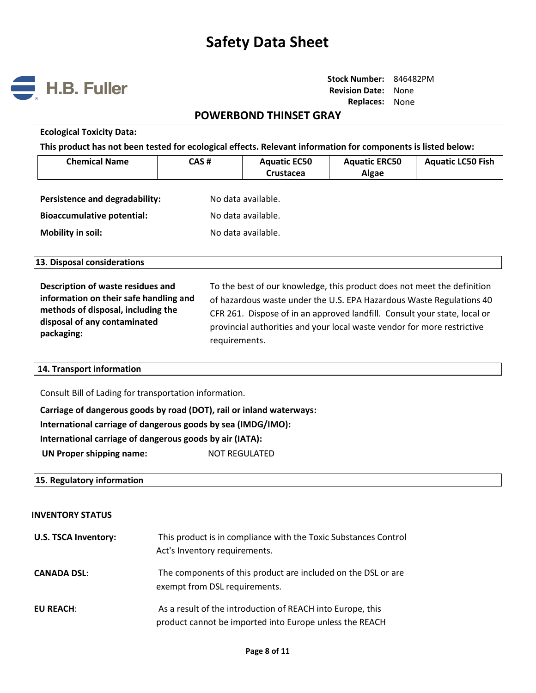

# **POWERBOND THINSET GRAY**

#### **Ecological Toxicity Data:**

**This product has not been tested for ecological effects. Relevant information for components is listed below:**

| <b>Chemical Name</b>              | CAS# | <b>Aquatic EC50</b><br>Crustacea | <b>Aquatic ERC50</b><br>Algae | <b>Aquatic LC50 Fish</b> |
|-----------------------------------|------|----------------------------------|-------------------------------|--------------------------|
| Persistence and degradability:    |      | No data available.               |                               |                          |
| <b>Bioaccumulative potential:</b> |      | No data available.               |                               |                          |
| Mobility in soil:                 |      | No data available.               |                               |                          |

**13. Disposal considerations**

**Description of waste residues and information on their safe handling and methods of disposal, including the disposal of any contaminated packaging:**  To the best of our knowledge, this product does not meet the definition of hazardous waste under the U.S. EPA Hazardous Waste Regulations 40 CFR 261. Dispose of in an approved landfill. Consult your state, local or provincial authorities and your local waste vendor for more restrictive requirements.

### **14. Transport information**

Consult Bill of Lading for transportation information.

**Carriage of dangerous goods by road (DOT), rail or inland waterways:**

**International carriage of dangerous goods by sea (IMDG/IMO):**

**International carriage of dangerous goods by air (IATA):**

**UN Proper shipping name:** NOT REGULATED

### **15. Regulatory information**

#### **INVENTORY STATUS**

| <b>U.S. TSCA Inventory:</b> | This product is in compliance with the Toxic Substances Control<br>Act's Inventory requirements.                      |
|-----------------------------|-----------------------------------------------------------------------------------------------------------------------|
| <b>CANADA DSL:</b>          | The components of this product are included on the DSL or are<br>exempt from DSL requirements.                        |
| <b>EU REACH:</b>            | As a result of the introduction of REACH into Europe, this<br>product cannot be imported into Europe unless the REACH |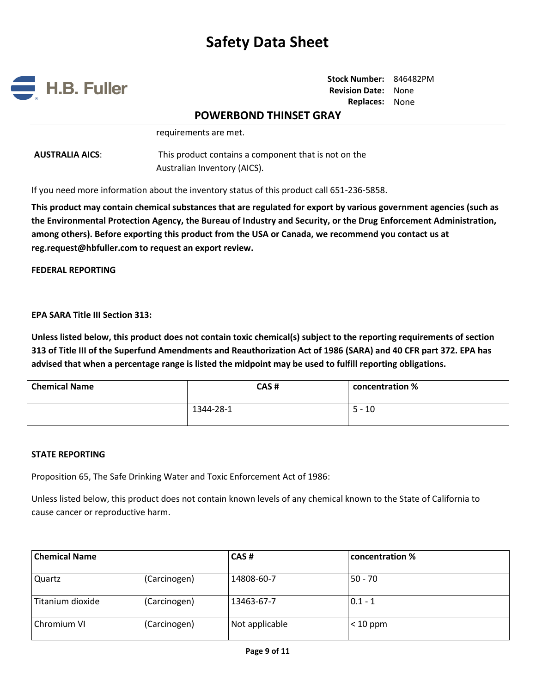

**Stock Number:** 846482PM **Revision Date:** None **Replaces:** None

# **POWERBOND THINSET GRAY**

requirements are met.

**AUSTRALIA AICS**: This product contains a component that is not on the Australian Inventory (AICS).

If you need more information about the inventory status of this product call 651-236-5858.

**This product may contain chemical substances that are regulated for export by various government agencies (such as the Environmental Protection Agency, the Bureau of Industry and Security, or the Drug Enforcement Administration, among others). Before exporting this product from the USA or Canada, we recommend you contact us at reg.request@hbfuller.com to request an export review.**

**FEDERAL REPORTING**

**EPA SARA Title III Section 313:**

**Unless listed below, this product does not contain toxic chemical(s) subject to the reporting requirements of section 313 of Title III of the Superfund Amendments and Reauthorization Act of 1986 (SARA) and 40 CFR part 372. EPA has advised that when a percentage range is listed the midpoint may be used to fulfill reporting obligations.**

| <b>Chemical Name</b> | CAS#      | concentration % |
|----------------------|-----------|-----------------|
|                      | 1344-28-1 | $5 - 10$        |

#### **STATE REPORTING**

Proposition 65, The Safe Drinking Water and Toxic Enforcement Act of 1986:

Unless listed below, this product does not contain known levels of any chemical known to the State of California to cause cancer or reproductive harm.

| <b>Chemical Name</b> |              | CAS#           | concentration % |  |
|----------------------|--------------|----------------|-----------------|--|
| Quartz               | (Carcinogen) | 14808-60-7     | $50 - 70$       |  |
| Titanium dioxide     | (Carcinogen) | 13463-67-7     | $0.1 - 1$       |  |
| Chromium VI          | (Carcinogen) | Not applicable | $< 10$ ppm      |  |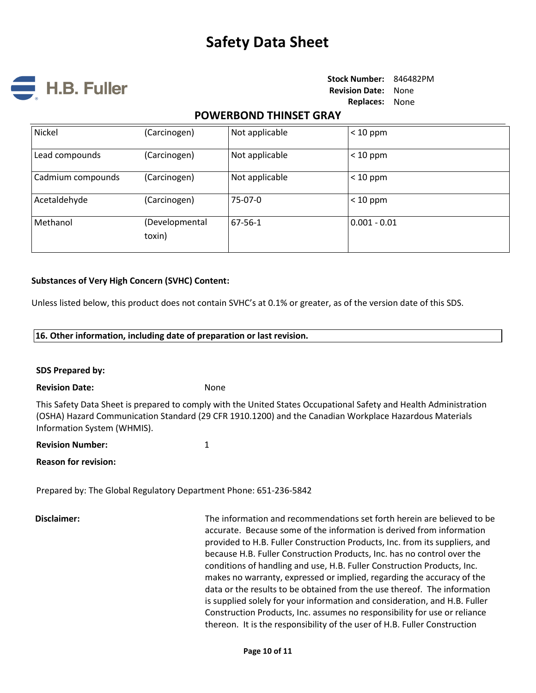

# **POWERBOND THINSET GRAY**

| Nickel            | (Carcinogen)             | Not applicable | $< 10$ ppm     |
|-------------------|--------------------------|----------------|----------------|
| Lead compounds    | (Carcinogen)             | Not applicable | $< 10$ ppm     |
| Cadmium compounds | (Carcinogen)             | Not applicable | $< 10$ ppm     |
| Acetaldehyde      | (Carcinogen)             | 75-07-0        | $< 10$ ppm     |
| Methanol          | (Developmental<br>toxin) | 67-56-1        | $0.001 - 0.01$ |

### **Substances of Very High Concern (SVHC) Content:**

Unless listed below, this product does not contain SVHC's at 0.1% or greater, as of the version date of this SDS.

### **16. Other information, including date of preparation or last revision.**

### **SDS Prepared by:**

### **Revision Date:** None

This Safety Data Sheet is prepared to comply with the United States Occupational Safety and Health Administration (OSHA) Hazard Communication Standard (29 CFR 1910.1200) and the Canadian Workplace Hazardous Materials Information System (WHMIS).

### **Revision Number:** 1

**Reason for revision:** 

Prepared by: The Global Regulatory Department Phone: 651-236-5842

**Disclaimer:** The information and recommendations set forth herein are believed to be accurate. Because some of the information is derived from information provided to H.B. Fuller Construction Products, Inc. from its suppliers, and because H.B. Fuller Construction Products, Inc. has no control over the conditions of handling and use, H.B. Fuller Construction Products, Inc. makes no warranty, expressed or implied, regarding the accuracy of the data or the results to be obtained from the use thereof. The information is supplied solely for your information and consideration, and H.B. Fuller Construction Products, Inc. assumes no responsibility for use or reliance thereon. It is the responsibility of the user of H.B. Fuller Construction